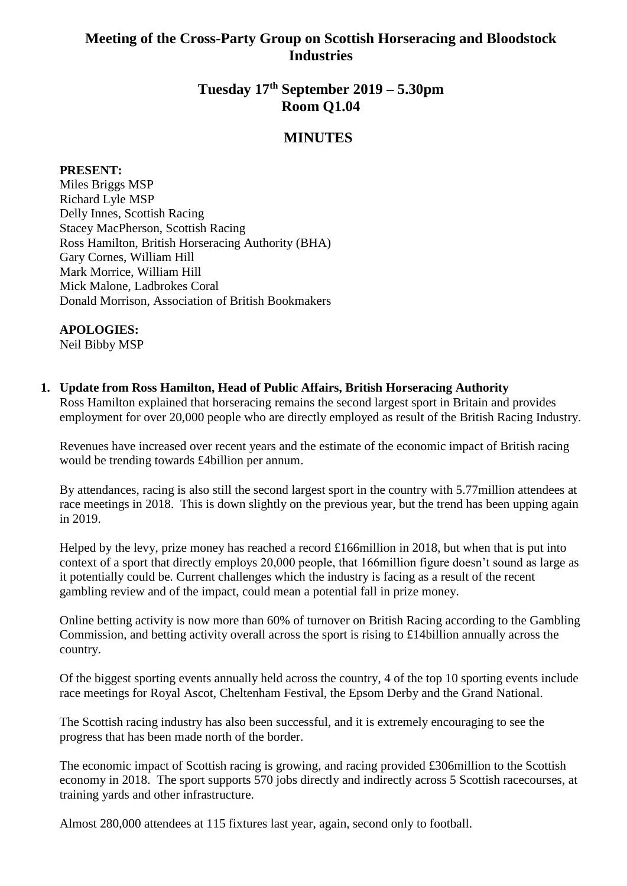# **Meeting of the Cross-Party Group on Scottish Horseracing and Bloodstock Industries**

# **Tuesday 17th September 2019 – 5.30pm Room Q1.04**

## **MINUTES**

#### **PRESENT:**

Miles Briggs MSP Richard Lyle MSP Delly Innes, Scottish Racing Stacey MacPherson, Scottish Racing Ross Hamilton, British Horseracing Authority (BHA) Gary Cornes, William Hill Mark Morrice, William Hill Mick Malone, Ladbrokes Coral Donald Morrison, Association of British Bookmakers

#### **APOLOGIES:**

Neil Bibby MSP

#### **1. Update from Ross Hamilton, Head of Public Affairs, British Horseracing Authority**

Ross Hamilton explained that horseracing remains the second largest sport in Britain and provides employment for over 20,000 people who are directly employed as result of the British Racing Industry.

Revenues have increased over recent years and the estimate of the economic impact of British racing would be trending towards £4billion per annum.

By attendances, racing is also still the second largest sport in the country with 5.77million attendees at race meetings in 2018. This is down slightly on the previous year, but the trend has been upping again in 2019.

Helped by the levy, prize money has reached a record £166million in 2018, but when that is put into context of a sport that directly employs 20,000 people, that 166million figure doesn't sound as large as it potentially could be. Current challenges which the industry is facing as a result of the recent gambling review and of the impact, could mean a potential fall in prize money.

Online betting activity is now more than 60% of turnover on British Racing according to the Gambling Commission, and betting activity overall across the sport is rising to £14billion annually across the country.

Of the biggest sporting events annually held across the country, 4 of the top 10 sporting events include race meetings for Royal Ascot, Cheltenham Festival, the Epsom Derby and the Grand National.

The Scottish racing industry has also been successful, and it is extremely encouraging to see the progress that has been made north of the border.

The economic impact of Scottish racing is growing, and racing provided £306million to the Scottish economy in 2018. The sport supports 570 jobs directly and indirectly across 5 Scottish racecourses, at training yards and other infrastructure.

Almost 280,000 attendees at 115 fixtures last year, again, second only to football.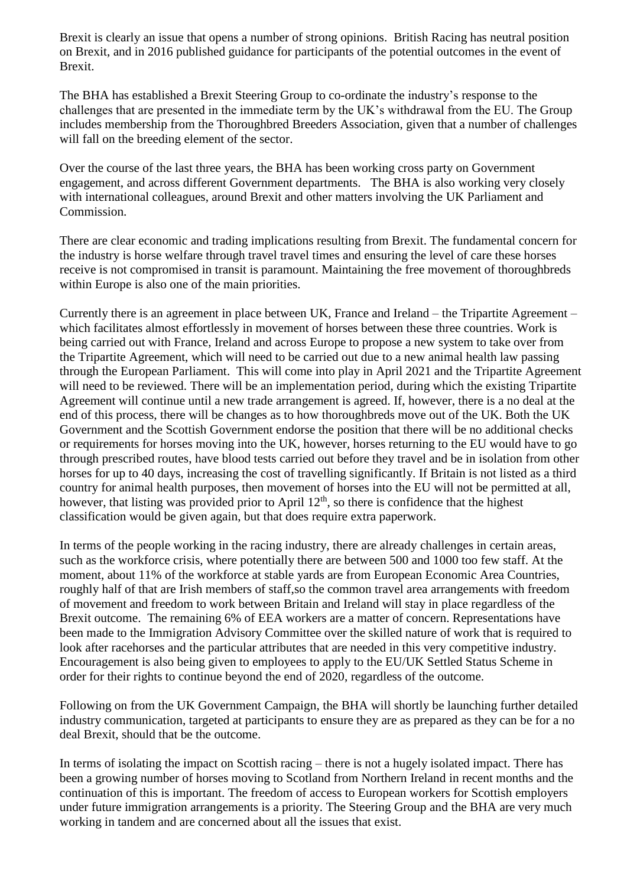Brexit is clearly an issue that opens a number of strong opinions. British Racing has neutral position on Brexit, and in 2016 published guidance for participants of the potential outcomes in the event of Brexit.

The BHA has established a Brexit Steering Group to co-ordinate the industry's response to the challenges that are presented in the immediate term by the UK's withdrawal from the EU. The Group includes membership from the Thoroughbred Breeders Association, given that a number of challenges will fall on the breeding element of the sector.

Over the course of the last three years, the BHA has been working cross party on Government engagement, and across different Government departments. The BHA is also working very closely with international colleagues, around Brexit and other matters involving the UK Parliament and Commission.

There are clear economic and trading implications resulting from Brexit. The fundamental concern for the industry is horse welfare through travel travel times and ensuring the level of care these horses receive is not compromised in transit is paramount. Maintaining the free movement of thoroughbreds within Europe is also one of the main priorities.

Currently there is an agreement in place between UK, France and Ireland – the Tripartite Agreement – which facilitates almost effortlessly in movement of horses between these three countries. Work is being carried out with France, Ireland and across Europe to propose a new system to take over from the Tripartite Agreement, which will need to be carried out due to a new animal health law passing through the European Parliament. This will come into play in April 2021 and the Tripartite Agreement will need to be reviewed. There will be an implementation period, during which the existing Tripartite Agreement will continue until a new trade arrangement is agreed. If, however, there is a no deal at the end of this process, there will be changes as to how thoroughbreds move out of the UK. Both the UK Government and the Scottish Government endorse the position that there will be no additional checks or requirements for horses moving into the UK, however, horses returning to the EU would have to go through prescribed routes, have blood tests carried out before they travel and be in isolation from other horses for up to 40 days, increasing the cost of travelling significantly. If Britain is not listed as a third country for animal health purposes, then movement of horses into the EU will not be permitted at all, however, that listing was provided prior to April  $12<sup>th</sup>$ , so there is confidence that the highest classification would be given again, but that does require extra paperwork.

In terms of the people working in the racing industry, there are already challenges in certain areas, such as the workforce crisis, where potentially there are between 500 and 1000 too few staff. At the moment, about 11% of the workforce at stable yards are from European Economic Area Countries, roughly half of that are Irish members of staff,so the common travel area arrangements with freedom of movement and freedom to work between Britain and Ireland will stay in place regardless of the Brexit outcome. The remaining 6% of EEA workers are a matter of concern. Representations have been made to the Immigration Advisory Committee over the skilled nature of work that is required to look after racehorses and the particular attributes that are needed in this very competitive industry. Encouragement is also being given to employees to apply to the EU/UK Settled Status Scheme in order for their rights to continue beyond the end of 2020, regardless of the outcome.

Following on from the UK Government Campaign, the BHA will shortly be launching further detailed industry communication, targeted at participants to ensure they are as prepared as they can be for a no deal Brexit, should that be the outcome.

In terms of isolating the impact on Scottish racing – there is not a hugely isolated impact. There has been a growing number of horses moving to Scotland from Northern Ireland in recent months and the continuation of this is important. The freedom of access to European workers for Scottish employers under future immigration arrangements is a priority. The Steering Group and the BHA are very much working in tandem and are concerned about all the issues that exist.